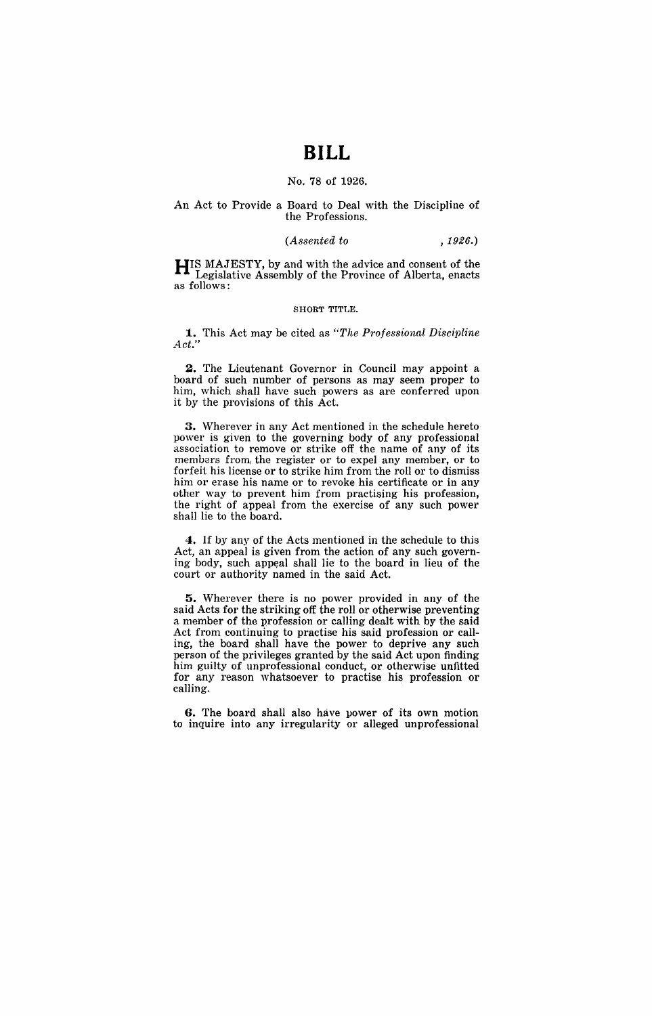# **BILL**

## No. 78 of 1926.

# An Act to Provide a Board to Deal with the Discipline of the Professions.

#### *(Assented to* ,1926.)

**HIS** MAJESTY, by and with the advice and consent of the Legislative Assembly of the Province of Alberta, enacts as follows:

#### SHORT TITLE.

**1.** This Act may be cited as *"The Professional Discipline Act."* 

**2.** The Lieutenant Governor in Council may appoint a board of such number of persons as may seem proper to him, which shall have such powers as are conferred upon it by the provisions of this Act.

**3.** Wherever in any Act mentioned in the schedule hereto power is given to the governing body of any professional association to remove or strike off the name of any of its members from, the register or to expel any member, or to forfeit his license or to strike him from the roll or to dismiss him or erase his name or to revoke his certificate or in any other way to prevent him from practising his profession, the right of appeal from the exercise of any such power shall lie to the board.

**4.** If by any of the Acts mentioned in the schedule to this Act, an appeal is given from the action of any such governing body, such appeal shall lie to the board in lieu of the court or authority named in the said Act.

**5.** Wherever there is no power provided in any of the said Acts for the striking off the roll or otherwise preventing a member of the profession or calling dealt with by the said Act from continuing to practise his said profession or calling, the board shall have the power to deprive any such person of the privileges granted by the said Act upon finding him guilty of unprofessional conduct, or otherwise unfitted for any reason whatsoever to practise his profession or calling. .

**G.** The board shall also have power of its own motion to inquire into any irregularity or alleged unprofessional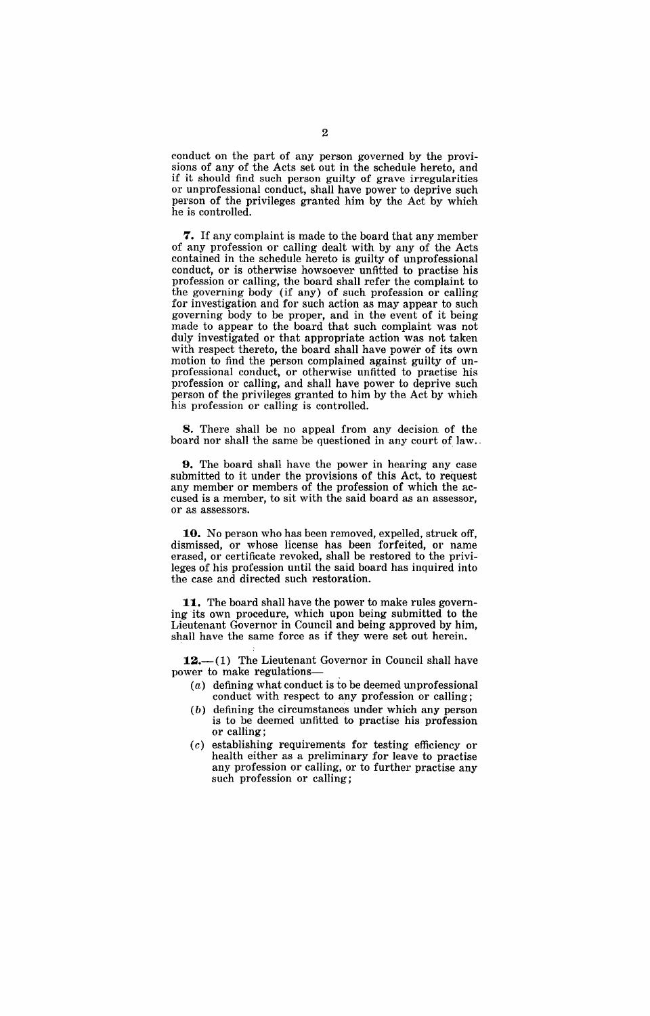conduct on the part of any person governed by the provisions of any of the Acts set out in the schedule hereto, and if it should find such person guilty of grave irregularities or unprofessional conduct, shall have power to deprive such person of the privileges granted him by the Act by which he is controlled.

**7.** If any complaint is made to the board that any member of any profession or calling dealt with by any of the Acts contained in the schedule hereto is guilty of unprofessional conduct, or is otherwise howsoever unfitted to practise his profession or calling, the board shall refer the complaint to the governing body (if any) of such profession or calling for investigation and for such action as may appear to such governing body to be proper, and in the event of it being made to appear to the board that such complaint was not duly investigated or that appropriate action was not taken with respect thereto, the board shall have power of its own motion to find the person complained against guilty of unprofessional conduct, or otherwise unfitted to practise his profession or calling, and shall have power to deprive such person of the privileges granted to him by the Act by which his profession or calling is controlled.

8. There shall be no appeal from any decision of the board nor shall the same be questioned in any court of law.,

**9.** The board shall have the power in hearing any case submitted to it under the provisions of this Act. to request any member or members of the profession of which the accused is a member, to sit with the said board as an assessor, or as assessors.

**10.** No person who has been removed, expelled, struck off, dismissed, or whose license has been forfeited, or name erased, or certificate revoked, shall be restored to the privileges of his profession until the said board has inquired into the case and directed such restoration.

**11.** The board shall have the power to make rules governing its own procedure, which upon being submitted to the Lieutenant Governor in Council and being approved by him, shall have the same force as if they were set out herein.

 $12.-(1)$  The Lieutenant Governor in Council shall have power to make regulations-

- $(a)$  defining what conduct is to be deemed unprofessional conduct with respect to any profession or calling;
- (b) defining the circumstances under which any person is to be deemed unfitted to practise his profession or calling;
- (c) establishing requirements for testing efficiency or health either as a preliminary for leave to practise any profession or calling, or to further practise any such profession or calling;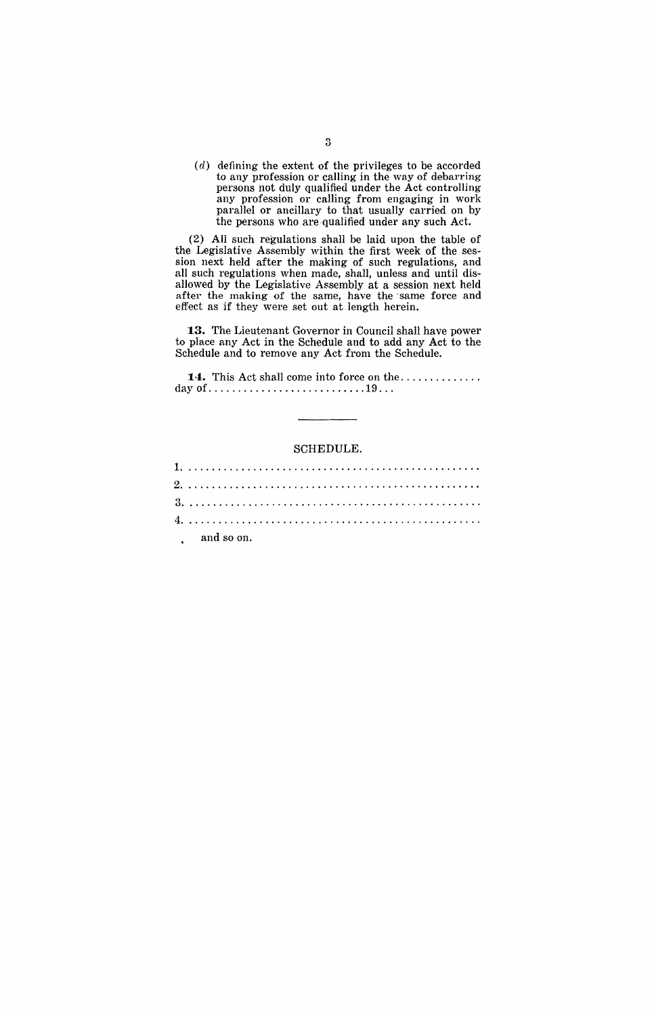$(d)$  defining the extent of the privileges to be accorded to any profession or calling in the way of debarring persons not duly qualified under the Act controlling any profession or calling from engaging in work parallel or ancillary to that usually carried on by the persons who are qualified under any such Act.

(2) All such regulations shall be laid upon the table of the Legislative Assembly within the first week of the session next held after the making of such regulations, and all such regulations when made, shall, unless and until disallowed by the Legislative Assembly at a session next held after the making of the same, have the same force and effect as if they were set out at .length herein.

**13.** The Lieutenant Governor in Council shall have power to place any Act in the Schedule and to add any Act to the Schedule and to remove any Act from the Schedule.

**14.** This Act shall come into force on the ............. . day of ..... , ..................... 19 .. ,

### SCHEDULE.

| $\qquad \qquad \text{and so on.}$ |  |  |  |  |  |  |  |  |  |  |  |  |  |  |  |  |  |  |  |  |  |  |  |  |  |
|-----------------------------------|--|--|--|--|--|--|--|--|--|--|--|--|--|--|--|--|--|--|--|--|--|--|--|--|--|